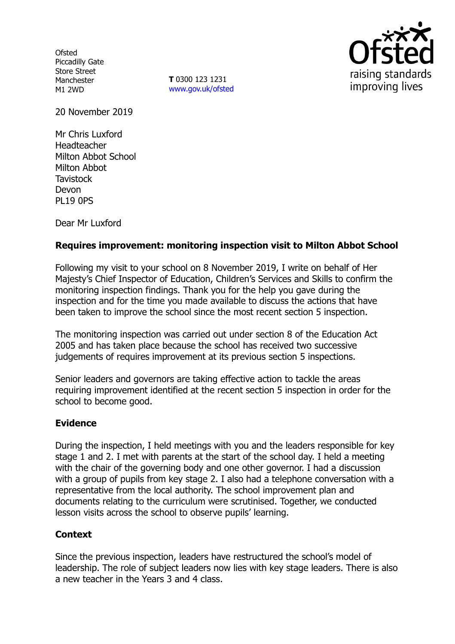**Ofsted** Piccadilly Gate Store Street Manchester M1 2WD

**T** 0300 123 1231 www.gov.uk/ofsted



20 November 2019

Mr Chris Luxford Headteacher Milton Abbot School Milton Abbot **Tavistock** Devon PL19 0PS

Dear Mr Luxford

## **Requires improvement: monitoring inspection visit to Milton Abbot School**

Following my visit to your school on 8 November 2019, I write on behalf of Her Majesty's Chief Inspector of Education, Children's Services and Skills to confirm the monitoring inspection findings. Thank you for the help you gave during the inspection and for the time you made available to discuss the actions that have been taken to improve the school since the most recent section 5 inspection.

The monitoring inspection was carried out under section 8 of the Education Act 2005 and has taken place because the school has received two successive judgements of requires improvement at its previous section 5 inspections.

Senior leaders and governors are taking effective action to tackle the areas requiring improvement identified at the recent section 5 inspection in order for the school to become good.

## **Evidence**

During the inspection, I held meetings with you and the leaders responsible for key stage 1 and 2. I met with parents at the start of the school day. I held a meeting with the chair of the governing body and one other governor. I had a discussion with a group of pupils from key stage 2. I also had a telephone conversation with a representative from the local authority. The school improvement plan and documents relating to the curriculum were scrutinised. Together, we conducted lesson visits across the school to observe pupils' learning.

# **Context**

Since the previous inspection, leaders have restructured the school's model of leadership. The role of subject leaders now lies with key stage leaders. There is also a new teacher in the Years 3 and 4 class.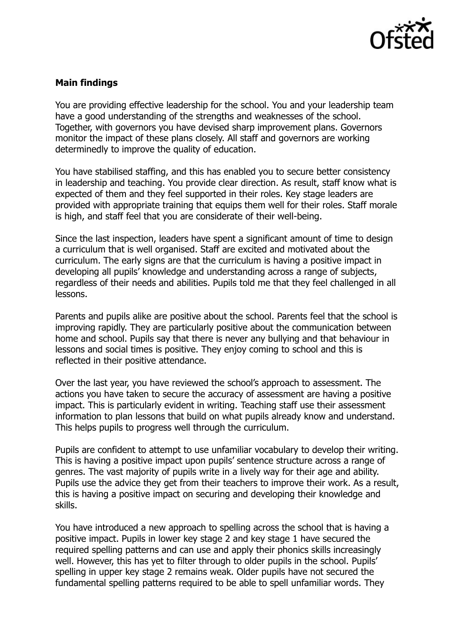

## **Main findings**

You are providing effective leadership for the school. You and your leadership team have a good understanding of the strengths and weaknesses of the school. Together, with governors you have devised sharp improvement plans. Governors monitor the impact of these plans closely. All staff and governors are working determinedly to improve the quality of education.

You have stabilised staffing, and this has enabled you to secure better consistency in leadership and teaching. You provide clear direction. As result, staff know what is expected of them and they feel supported in their roles. Key stage leaders are provided with appropriate training that equips them well for their roles. Staff morale is high, and staff feel that you are considerate of their well-being.

Since the last inspection, leaders have spent a significant amount of time to design a curriculum that is well organised. Staff are excited and motivated about the curriculum. The early signs are that the curriculum is having a positive impact in developing all pupils' knowledge and understanding across a range of subjects, regardless of their needs and abilities. Pupils told me that they feel challenged in all lessons.

Parents and pupils alike are positive about the school. Parents feel that the school is improving rapidly. They are particularly positive about the communication between home and school. Pupils say that there is never any bullying and that behaviour in lessons and social times is positive. They enjoy coming to school and this is reflected in their positive attendance.

Over the last year, you have reviewed the school's approach to assessment. The actions you have taken to secure the accuracy of assessment are having a positive impact. This is particularly evident in writing. Teaching staff use their assessment information to plan lessons that build on what pupils already know and understand. This helps pupils to progress well through the curriculum.

Pupils are confident to attempt to use unfamiliar vocabulary to develop their writing. This is having a positive impact upon pupils' sentence structure across a range of genres. The vast majority of pupils write in a lively way for their age and ability. Pupils use the advice they get from their teachers to improve their work. As a result, this is having a positive impact on securing and developing their knowledge and skills.

You have introduced a new approach to spelling across the school that is having a positive impact. Pupils in lower key stage 2 and key stage 1 have secured the required spelling patterns and can use and apply their phonics skills increasingly well. However, this has yet to filter through to older pupils in the school. Pupils' spelling in upper key stage 2 remains weak. Older pupils have not secured the fundamental spelling patterns required to be able to spell unfamiliar words. They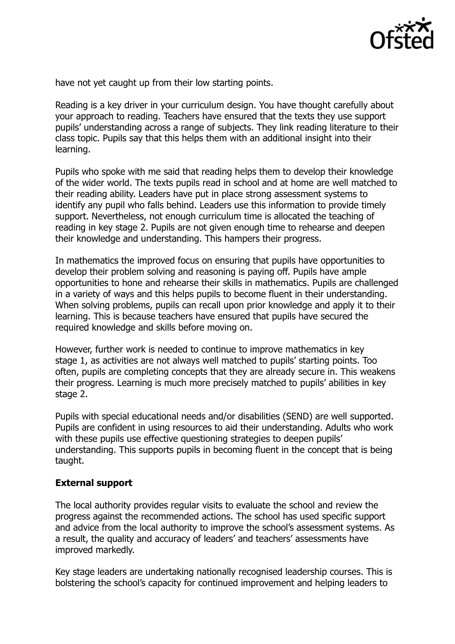

have not yet caught up from their low starting points.

Reading is a key driver in your curriculum design. You have thought carefully about your approach to reading. Teachers have ensured that the texts they use support pupils' understanding across a range of subjects. They link reading literature to their class topic. Pupils say that this helps them with an additional insight into their learning.

Pupils who spoke with me said that reading helps them to develop their knowledge of the wider world. The texts pupils read in school and at home are well matched to their reading ability. Leaders have put in place strong assessment systems to identify any pupil who falls behind. Leaders use this information to provide timely support. Nevertheless, not enough curriculum time is allocated the teaching of reading in key stage 2. Pupils are not given enough time to rehearse and deepen their knowledge and understanding. This hampers their progress.

In mathematics the improved focus on ensuring that pupils have opportunities to develop their problem solving and reasoning is paying off. Pupils have ample opportunities to hone and rehearse their skills in mathematics. Pupils are challenged in a variety of ways and this helps pupils to become fluent in their understanding. When solving problems, pupils can recall upon prior knowledge and apply it to their learning. This is because teachers have ensured that pupils have secured the required knowledge and skills before moving on.

However, further work is needed to continue to improve mathematics in key stage 1, as activities are not always well matched to pupils' starting points. Too often, pupils are completing concepts that they are already secure in. This weakens their progress. Learning is much more precisely matched to pupils' abilities in key stage 2.

Pupils with special educational needs and/or disabilities (SEND) are well supported. Pupils are confident in using resources to aid their understanding. Adults who work with these pupils use effective questioning strategies to deepen pupils' understanding. This supports pupils in becoming fluent in the concept that is being taught.

## **External support**

The local authority provides regular visits to evaluate the school and review the progress against the recommended actions. The school has used specific support and advice from the local authority to improve the school's assessment systems. As a result, the quality and accuracy of leaders' and teachers' assessments have improved markedly.

Key stage leaders are undertaking nationally recognised leadership courses. This is bolstering the school's capacity for continued improvement and helping leaders to